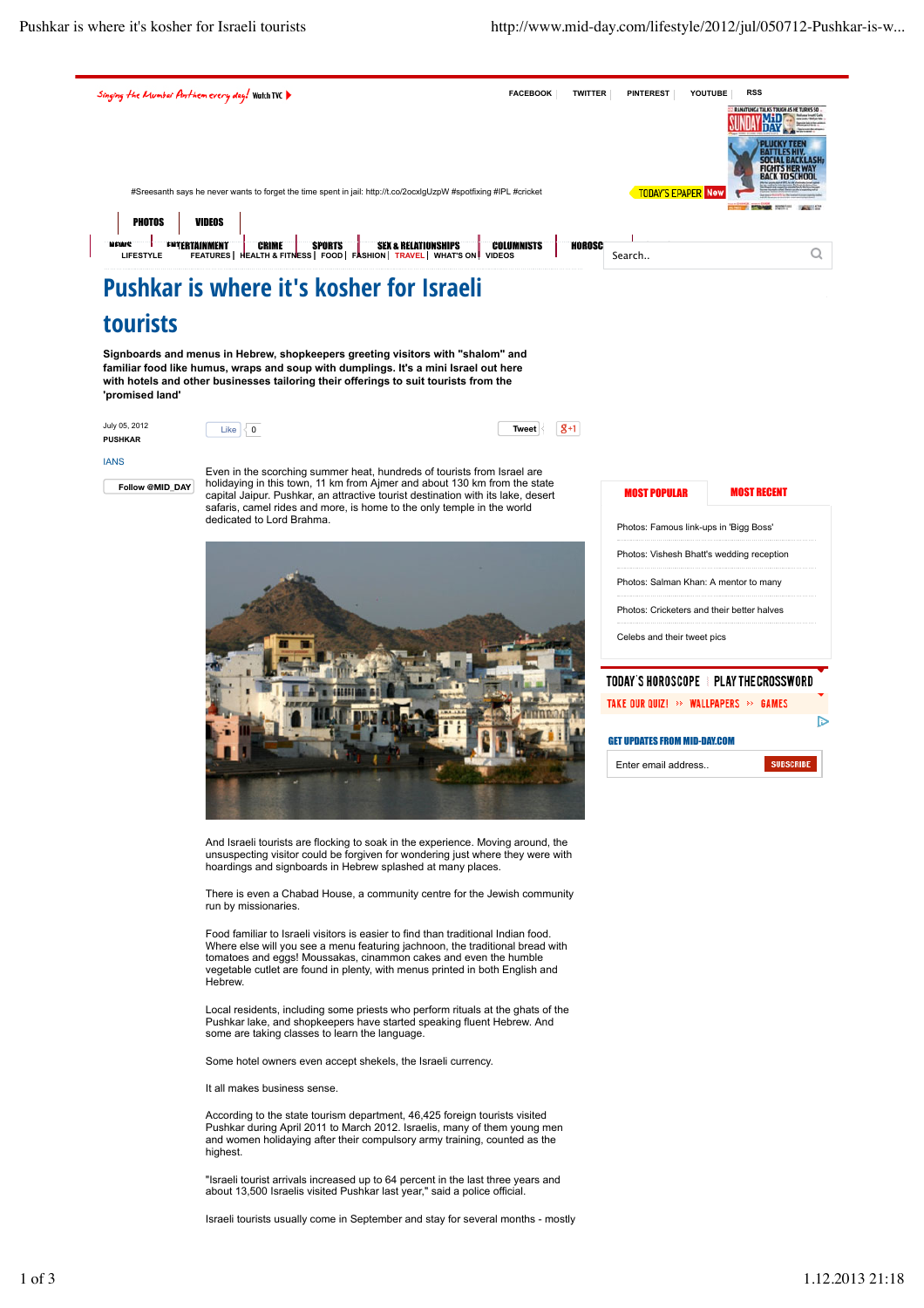